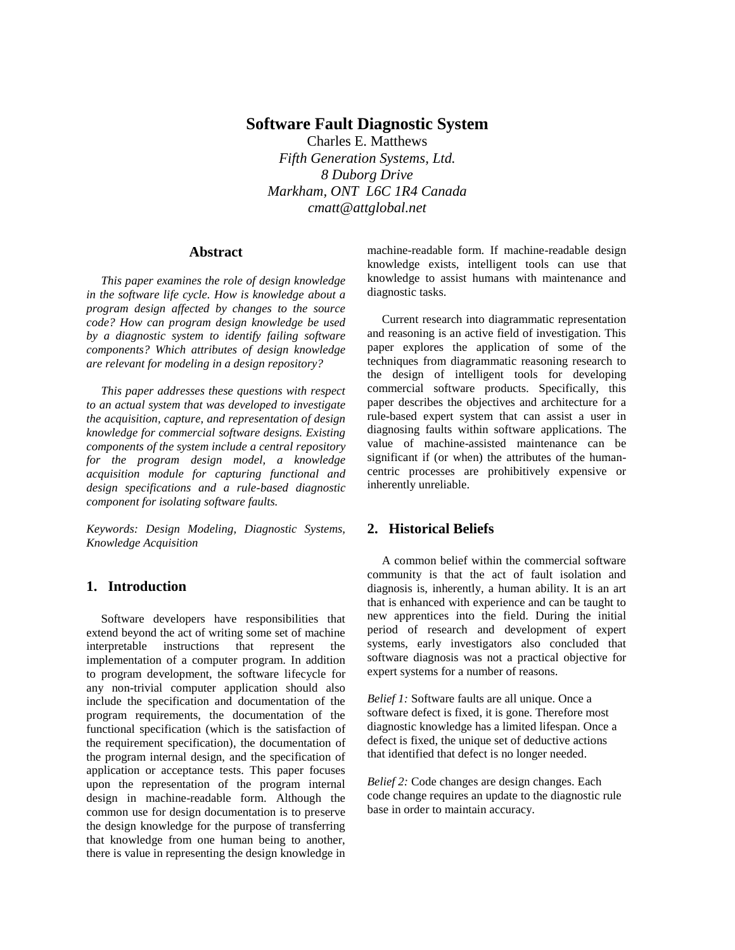# **Software Fault Diagnostic System**

Charles E. Matthews *Fifth Generation Systems, Ltd. 8 Duborg Drive Markham, ONT L6C 1R4 Canada cmatt@attglobal.net*

### **Abstract**

*This paper examines the role of design knowledge in the software life cycle. How is knowledge about a program design affected by changes to the source code? How can program design knowledge be used by a diagnostic system to identify failing software components? Which attributes of design knowledge are relevant for modeling in a design repository?*

*This paper addresses these questions with respect to an actual system that was developed to investigate the acquisition, capture, and representation of design knowledge for commercial software designs. Existing components of the system include a central repository for the program design model, a knowledge acquisition module for capturing functional and design specifications and a rule-based diagnostic component for isolating software faults.* 

*Keywords: Design Modeling, Diagnostic Systems, Knowledge Acquisition*

# **1. Introduction**

Software developers have responsibilities that extend beyond the act of writing some set of machine interpretable instructions that represent implementation of a computer program. In addition to program development, the software lifecycle for any non-trivial computer application should also include the specification and documentation of the program requirements, the documentation of the functional specification (which is the satisfaction of the requirement specification), the documentation of the program internal design, and the specification of application or acceptance tests. This paper focuses upon the representation of the program internal design in machine-readable form. Although the common use for design documentation is to preserve the design knowledge for the purpose of transferring that knowledge from one human being to another, there is value in representing the design knowledge in machine-readable form. If machine-readable design knowledge exists, intelligent tools can use that knowledge to assist humans with maintenance and diagnostic tasks.

Current research into diagrammatic representation and reasoning is an active field of investigation. This paper explores the application of some of the techniques from diagrammatic reasoning research to the design of intelligent tools for developing commercial software products. Specifically, this paper describes the objectives and architecture for a rule-based expert system that can assist a user in diagnosing faults within software applications. The value of machine-assisted maintenance can be significant if (or when) the attributes of the humancentric processes are prohibitively expensive or inherently unreliable.

### **2. Historical Beliefs**

A common belief within the commercial software community is that the act of fault isolation and diagnosis is, inherently, a human ability. It is an art that is enhanced with experience and can be taught to new apprentices into the field. During the initial period of research and development of expert systems, early investigators also concluded that software diagnosis was not a practical objective for expert systems for a number of reasons.

*Belief 1:* Software faults are all unique. Once a software defect is fixed, it is gone. Therefore most diagnostic knowledge has a limited lifespan. Once a defect is fixed, the unique set of deductive actions that identified that defect is no longer needed.

*Belief 2:* Code changes are design changes. Each code change requires an update to the diagnostic rule base in order to maintain accuracy.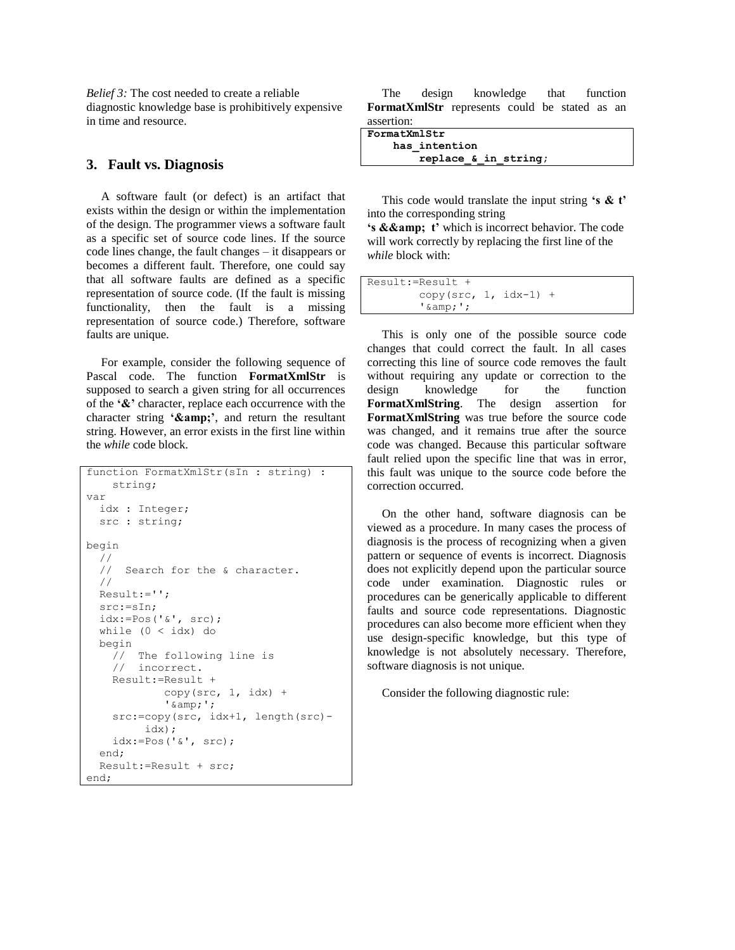*Belief 3:* The cost needed to create a reliable diagnostic knowledge base is prohibitively expensive in time and resource.

## **3. Fault vs. Diagnosis**

A software fault (or defect) is an artifact that exists within the design or within the implementation of the design. The programmer views a software fault as a specific set of source code lines. If the source code lines change, the fault changes – it disappears or becomes a different fault. Therefore, one could say that all software faults are defined as a specific representation of source code. (If the fault is missing functionality, then the fault is a missing representation of source code.) Therefore, software faults are unique.

For example, consider the following sequence of Pascal code. The function **FormatXmlStr** is supposed to search a given string for all occurrences of the **'&'** character, replace each occurrence with the character string **'&amp**;', and return the resultant string. However, an error exists in the first line within the *while* code block.

```
function FormatXmlStr(sIn : string) :
     string;
var
   idx : Integer;
   src : string;
begin
   //
   // Search for the & character.
   //
   Result:='';
   src:=sIn;
   idx:=Pos('&', src);
   while (0 < idx) do
   begin
     // The following line is 
     // incorrect.
     Result:=Result + 
             copy(src, 1, idx) +
             '\;&';
     src:=copy(src, idx+1, length(src)-
          idx);
     idx:=Pos('&', src);
   end;
   Result:=Result + src;
end;
```
The design knowledge that function **FormatXmlStr** represents could be stated as an assertion:

| FormatXmlStr |                      |  |  |  |  |
|--------------|----------------------|--|--|--|--|
|              | has intention        |  |  |  |  |
|              | replace & in string; |  |  |  |  |

This code would translate the input string **'s & t'** into the corresponding string

**'s && t**' which is incorrect behavior. The code will work correctly by replacing the first line of the *while* block with:

```
Result:=Result + 
        copy(src, 1, idx-1) +
        'samp;;';
```
This is only one of the possible source code changes that could correct the fault. In all cases correcting this line of source code removes the fault without requiring any update or correction to the design knowledge for the function **FormatXmlString**. The design assertion for **FormatXmlString** was true before the source code was changed, and it remains true after the source code was changed. Because this particular software fault relied upon the specific line that was in error, this fault was unique to the source code before the correction occurred.

On the other hand, software diagnosis can be viewed as a procedure. In many cases the process of diagnosis is the process of recognizing when a given pattern or sequence of events is incorrect. Diagnosis does not explicitly depend upon the particular source code under examination. Diagnostic rules or procedures can be generically applicable to different faults and source code representations. Diagnostic procedures can also become more efficient when they use design-specific knowledge, but this type of knowledge is not absolutely necessary. Therefore, software diagnosis is not unique.

Consider the following diagnostic rule: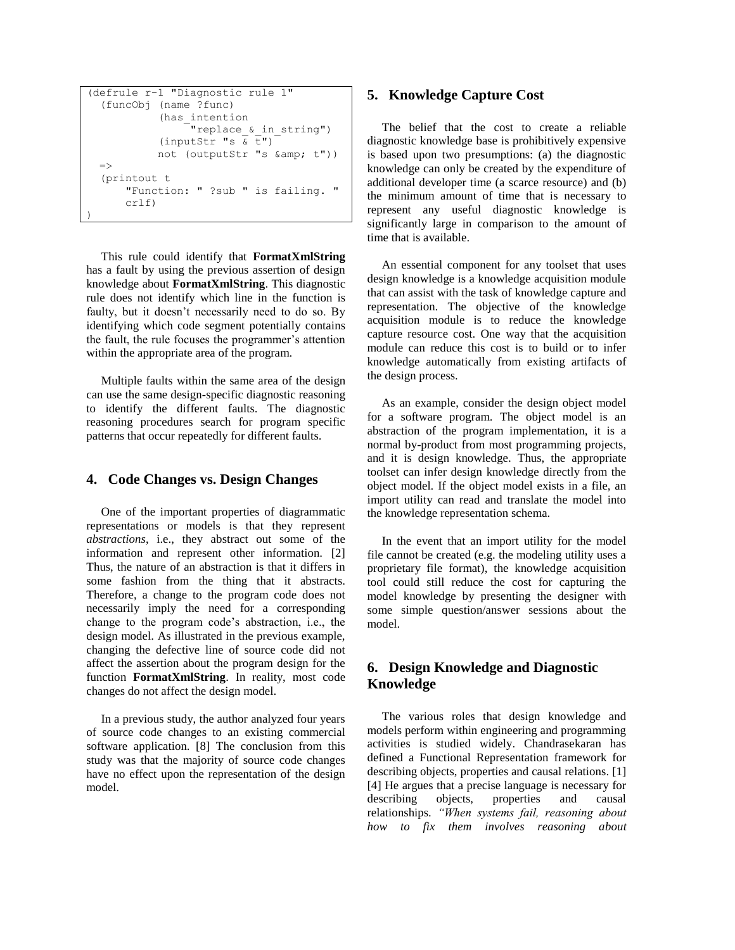```
(defrule r-1 "Diagnostic rule 1" 
   (funcObj (name ?func) 
              (has_intention 
                    "replace_&_in_string") 
              (inputStr \overline{s} \overline{t}")
             not (outputStr "s & amp; t"))
  \Rightarrow (printout t 
        "Function: " ?sub " is failing. " 
        crlf)
)
```
This rule could identify that **FormatXmlString** has a fault by using the previous assertion of design knowledge about **FormatXmlString**. This diagnostic rule does not identify which line in the function is faulty, but it doesn't necessarily need to do so. By identifying which code segment potentially contains the fault, the rule focuses the programmer's attention within the appropriate area of the program.

Multiple faults within the same area of the design can use the same design-specific diagnostic reasoning to identify the different faults. The diagnostic reasoning procedures search for program specific patterns that occur repeatedly for different faults.

### **4. Code Changes vs. Design Changes**

One of the important properties of diagrammatic representations or models is that they represent *abstractions*, i.e., they abstract out some of the information and represent other information. [2] Thus, the nature of an abstraction is that it differs in some fashion from the thing that it abstracts. Therefore, a change to the program code does not necessarily imply the need for a corresponding change to the program code's abstraction, i.e., the design model. As illustrated in the previous example, changing the defective line of source code did not affect the assertion about the program design for the function **FormatXmlString**. In reality, most code changes do not affect the design model.

In a previous study, the author analyzed four years of source code changes to an existing commercial software application. [8] The conclusion from this study was that the majority of source code changes have no effect upon the representation of the design model.

### **5. Knowledge Capture Cost**

The belief that the cost to create a reliable diagnostic knowledge base is prohibitively expensive is based upon two presumptions: (a) the diagnostic knowledge can only be created by the expenditure of additional developer time (a scarce resource) and (b) the minimum amount of time that is necessary to represent any useful diagnostic knowledge is significantly large in comparison to the amount of time that is available.

An essential component for any toolset that uses design knowledge is a knowledge acquisition module that can assist with the task of knowledge capture and representation. The objective of the knowledge acquisition module is to reduce the knowledge capture resource cost. One way that the acquisition module can reduce this cost is to build or to infer knowledge automatically from existing artifacts of the design process.

As an example, consider the design object model for a software program. The object model is an abstraction of the program implementation, it is a normal by-product from most programming projects, and it is design knowledge. Thus, the appropriate toolset can infer design knowledge directly from the object model. If the object model exists in a file, an import utility can read and translate the model into the knowledge representation schema.

In the event that an import utility for the model file cannot be created (e.g. the modeling utility uses a proprietary file format), the knowledge acquisition tool could still reduce the cost for capturing the model knowledge by presenting the designer with some simple question/answer sessions about the model.

# **6. Design Knowledge and Diagnostic Knowledge**

The various roles that design knowledge and models perform within engineering and programming activities is studied widely. Chandrasekaran has defined a Functional Representation framework for describing objects, properties and causal relations. [1] [4] He argues that a precise language is necessary for describing objects, properties and causal relationships. *"When systems fail, reasoning about how to fix them involves reasoning about*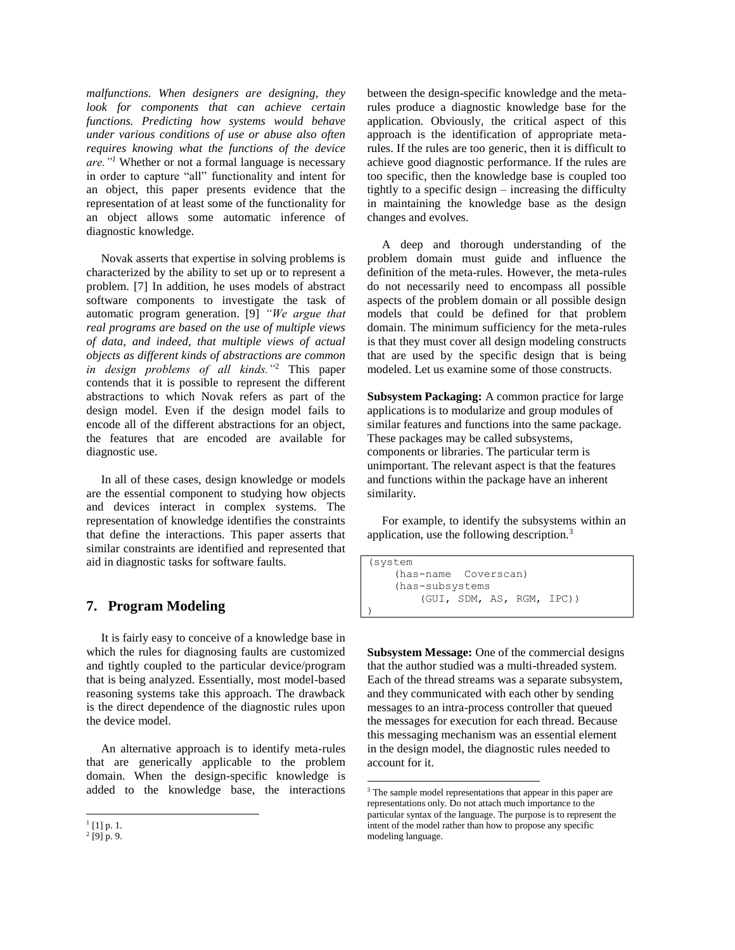*malfunctions. When designers are designing, they look for components that can achieve certain functions. Predicting how systems would behave under various conditions of use or abuse also often requires knowing what the functions of the device are."<sup>1</sup>* Whether or not a formal language is necessary in order to capture "all" functionality and intent for an object, this paper presents evidence that the representation of at least some of the functionality for an object allows some automatic inference of diagnostic knowledge.

Novak asserts that expertise in solving problems is characterized by the ability to set up or to represent a problem. [7] In addition, he uses models of abstract software components to investigate the task of automatic program generation. [9] *"We argue that real programs are based on the use of multiple views of data, and indeed, that multiple views of actual objects as different kinds of abstractions are common in design problems of all kinds."*<sup>2</sup> This paper contends that it is possible to represent the different abstractions to which Novak refers as part of the design model. Even if the design model fails to encode all of the different abstractions for an object, the features that are encoded are available for diagnostic use.

In all of these cases, design knowledge or models are the essential component to studying how objects and devices interact in complex systems. The representation of knowledge identifies the constraints that define the interactions. This paper asserts that similar constraints are identified and represented that aid in diagnostic tasks for software faults.

# **7. Program Modeling**

It is fairly easy to conceive of a knowledge base in which the rules for diagnosing faults are customized and tightly coupled to the particular device/program that is being analyzed. Essentially, most model-based reasoning systems take this approach. The drawback is the direct dependence of the diagnostic rules upon the device model.

An alternative approach is to identify meta-rules that are generically applicable to the problem domain. When the design-specific knowledge is added to the knowledge base, the interactions

between the design-specific knowledge and the metarules produce a diagnostic knowledge base for the application. Obviously, the critical aspect of this approach is the identification of appropriate metarules. If the rules are too generic, then it is difficult to achieve good diagnostic performance. If the rules are too specific, then the knowledge base is coupled too tightly to a specific design – increasing the difficulty in maintaining the knowledge base as the design changes and evolves.

A deep and thorough understanding of the problem domain must guide and influence the definition of the meta-rules. However, the meta-rules do not necessarily need to encompass all possible aspects of the problem domain or all possible design models that could be defined for that problem domain. The minimum sufficiency for the meta-rules is that they must cover all design modeling constructs that are used by the specific design that is being modeled. Let us examine some of those constructs.

**Subsystem Packaging:** A common practice for large applications is to modularize and group modules of similar features and functions into the same package. These packages may be called subsystems, components or libraries. The particular term is unimportant. The relevant aspect is that the features and functions within the package have an inherent similarity.

For example, to identify the subsystems within an application, use the following description.<sup>3</sup>

```
(system 
     (has-name Coverscan)
     (has-subsystems 
         (GUI, SDM, AS, RGM, IPC))
```
)

 $\overline{a}$ 

**Subsystem Message:** One of the commercial designs that the author studied was a multi-threaded system. Each of the thread streams was a separate subsystem, and they communicated with each other by sending messages to an intra-process controller that queued the messages for execution for each thread. Because this messaging mechanism was an essential element in the design model, the diagnostic rules needed to account for it.

l  $^{1}[1]$  p. 1.

 $^{2}$  [9] p. 9.

<sup>&</sup>lt;sup>3</sup> The sample model representations that appear in this paper are representations only. Do not attach much importance to the particular syntax of the language. The purpose is to represent the intent of the model rather than how to propose any specific modeling language.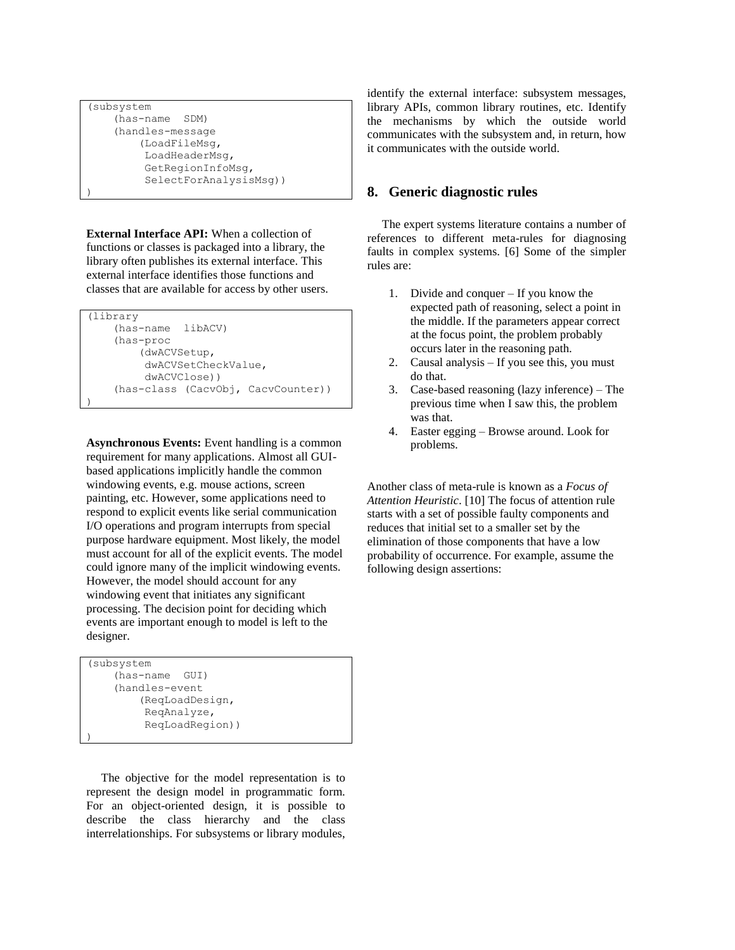```
(subsystem
     (has-name SDM)
     (handles-message 
          (LoadFileMsg, 
          LoadHeaderMsg, 
           GetRegionInfoMsg,
           SelectForAnalysisMsg))
)
```
**External Interface API:** When a collection of functions or classes is packaged into a library, the library often publishes its external interface. This external interface identifies those functions and classes that are available for access by other users.

```
(library 
     (has-name libACV) 
     (has-proc 
          (dwACVSetup, 
          dwACVSetCheckValue, 
          dwACVClose))
     (has-class (CacvObj, CacvCounter))
)
```
**Asynchronous Events:** Event handling is a common requirement for many applications. Almost all GUIbased applications implicitly handle the common windowing events, e.g. mouse actions, screen painting, etc. However, some applications need to respond to explicit events like serial communication I/O operations and program interrupts from special purpose hardware equipment. Most likely, the model must account for all of the explicit events. The model could ignore many of the implicit windowing events. However, the model should account for any windowing event that initiates any significant processing. The decision point for deciding which events are important enough to model is left to the designer.

```
(subsystem
     (has-name GUI)
     (handles-event 
          (ReqLoadDesign, 
           ReqAnalyze, 
           ReqLoadRegion))
)
```
The objective for the model representation is to represent the design model in programmatic form. For an object-oriented design, it is possible to describe the class hierarchy and the class interrelationships. For subsystems or library modules, identify the external interface: subsystem messages, library APIs, common library routines, etc. Identify the mechanisms by which the outside world communicates with the subsystem and, in return, how it communicates with the outside world.

# **8. Generic diagnostic rules**

The expert systems literature contains a number of references to different meta-rules for diagnosing faults in complex systems. [6] Some of the simpler rules are:

- 1. Divide and conquer If you know the expected path of reasoning, select a point in the middle. If the parameters appear correct at the focus point, the problem probably occurs later in the reasoning path.
- 2. Causal analysis If you see this, you must do that.
- 3. Case-based reasoning (lazy inference) The previous time when I saw this, the problem was that.
- 4. Easter egging Browse around. Look for problems.

Another class of meta-rule is known as a *Focus of Attention Heuristic*. [10] The focus of attention rule starts with a set of possible faulty components and reduces that initial set to a smaller set by the elimination of those components that have a low probability of occurrence. For example, assume the following design assertions: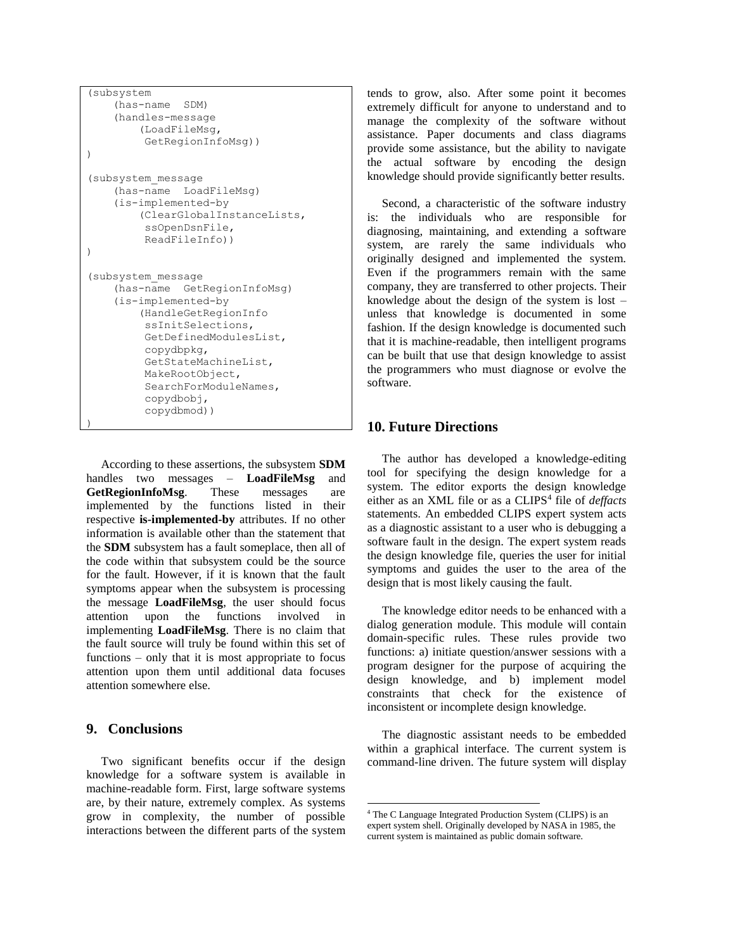```
(subsystem
     (has-name SDM)
     (handles-message 
          (LoadFileMsg, 
           GetRegionInfoMsg))
)
(subsystem_message
     (has-name LoadFileMsg)
     (is-implemented-by 
          (ClearGlobalInstanceLists, 
           ssOpenDsnFile,
           ReadFileInfo))
)
(subsystem_message
     (has-name GetRegionInfoMsg)
     (is-implemented-by 
          (HandleGetRegionInfo 
           ssInitSelections, 
           GetDefinedModulesList, 
           copydbpkg, 
           GetStateMachineList, 
           MakeRootObject, 
           SearchForModuleNames, 
           copydbobj, 
           copydbmod))
)
```
According to these assertions, the subsystem **SDM** handles two messages – **LoadFileMsg** and **GetRegionInfoMsg**. These messages are implemented by the functions listed in their respective **is-implemented-by** attributes. If no other information is available other than the statement that the **SDM** subsystem has a fault someplace, then all of the code within that subsystem could be the source for the fault. However, if it is known that the fault symptoms appear when the subsystem is processing the message **LoadFileMsg**, the user should focus attention upon the functions involved in implementing **LoadFileMsg**. There is no claim that the fault source will truly be found within this set of functions – only that it is most appropriate to focus attention upon them until additional data focuses attention somewhere else.

### **9. Conclusions**

Two significant benefits occur if the design knowledge for a software system is available in machine-readable form. First, large software systems are, by their nature, extremely complex. As systems grow in complexity, the number of possible interactions between the different parts of the system tends to grow, also. After some point it becomes extremely difficult for anyone to understand and to manage the complexity of the software without assistance. Paper documents and class diagrams provide some assistance, but the ability to navigate the actual software by encoding the design knowledge should provide significantly better results.

Second, a characteristic of the software industry is: the individuals who are responsible for diagnosing, maintaining, and extending a software system, are rarely the same individuals who originally designed and implemented the system. Even if the programmers remain with the same company, they are transferred to other projects. Their knowledge about the design of the system is lost – unless that knowledge is documented in some fashion. If the design knowledge is documented such that it is machine-readable, then intelligent programs can be built that use that design knowledge to assist the programmers who must diagnose or evolve the software.

### **10. Future Directions**

The author has developed a knowledge-editing tool for specifying the design knowledge for a system. The editor exports the design knowledge either as an XML file or as a CLIPS<sup>4</sup> file of *deffacts* statements. An embedded CLIPS expert system acts as a diagnostic assistant to a user who is debugging a software fault in the design. The expert system reads the design knowledge file, queries the user for initial symptoms and guides the user to the area of the design that is most likely causing the fault.

The knowledge editor needs to be enhanced with a dialog generation module. This module will contain domain-specific rules. These rules provide two functions: a) initiate question/answer sessions with a program designer for the purpose of acquiring the design knowledge, and b) implement model constraints that check for the existence of inconsistent or incomplete design knowledge.

The diagnostic assistant needs to be embedded within a graphical interface. The current system is command-line driven. The future system will display

 $\overline{a}$ 

<sup>4</sup> The C Language Integrated Production System (CLIPS) is an expert system shell. Originally developed by NASA in 1985, the current system is maintained as public domain software.